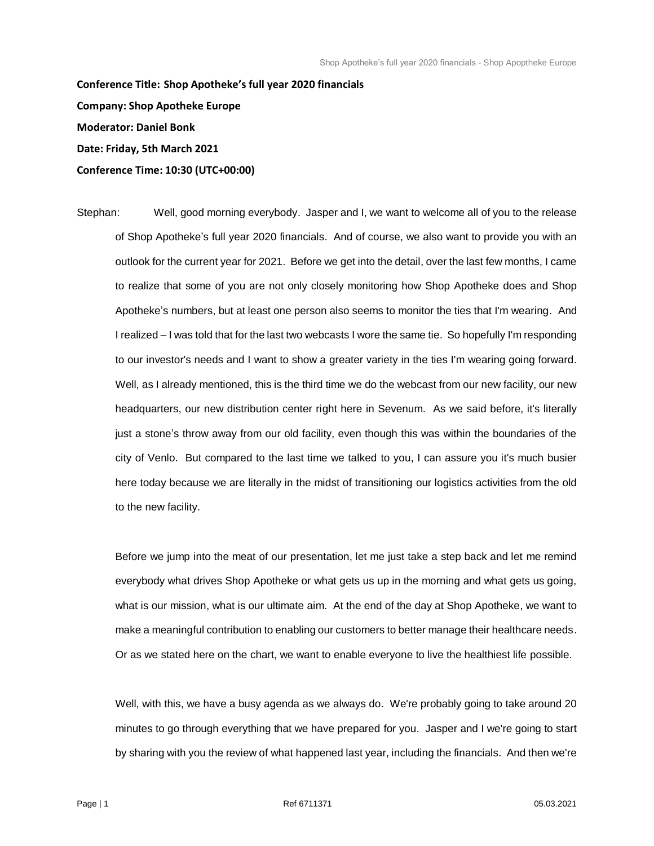**Conference Title: Shop Apotheke's full year 2020 financials Company: Shop Apotheke Europe Moderator: Daniel Bonk Date: Friday, 5th March 2021 Conference Time: 10:30 (UTC+00:00)**

Stephan: Well, good morning everybody. Jasper and I, we want to welcome all of you to the release of Shop Apotheke's full year 2020 financials. And of course, we also want to provide you with an outlook for the current year for 2021. Before we get into the detail, over the last few months, I came to realize that some of you are not only closely monitoring how Shop Apotheke does and Shop Apotheke's numbers, but at least one person also seems to monitor the ties that I'm wearing. And I realized – I was told that for the last two webcasts I wore the same tie. So hopefully I'm responding to our investor's needs and I want to show a greater variety in the ties I'm wearing going forward. Well, as I already mentioned, this is the third time we do the webcast from our new facility, our new headquarters, our new distribution center right here in Sevenum. As we said before, it's literally just a stone's throw away from our old facility, even though this was within the boundaries of the city of Venlo. But compared to the last time we talked to you, I can assure you it's much busier here today because we are literally in the midst of transitioning our logistics activities from the old to the new facility.

Before we jump into the meat of our presentation, let me just take a step back and let me remind everybody what drives Shop Apotheke or what gets us up in the morning and what gets us going, what is our mission, what is our ultimate aim. At the end of the day at Shop Apotheke, we want to make a meaningful contribution to enabling our customers to better manage their healthcare needs. Or as we stated here on the chart, we want to enable everyone to live the healthiest life possible.

Well, with this, we have a busy agenda as we always do. We're probably going to take around 20 minutes to go through everything that we have prepared for you. Jasper and I we're going to start by sharing with you the review of what happened last year, including the financials. And then we're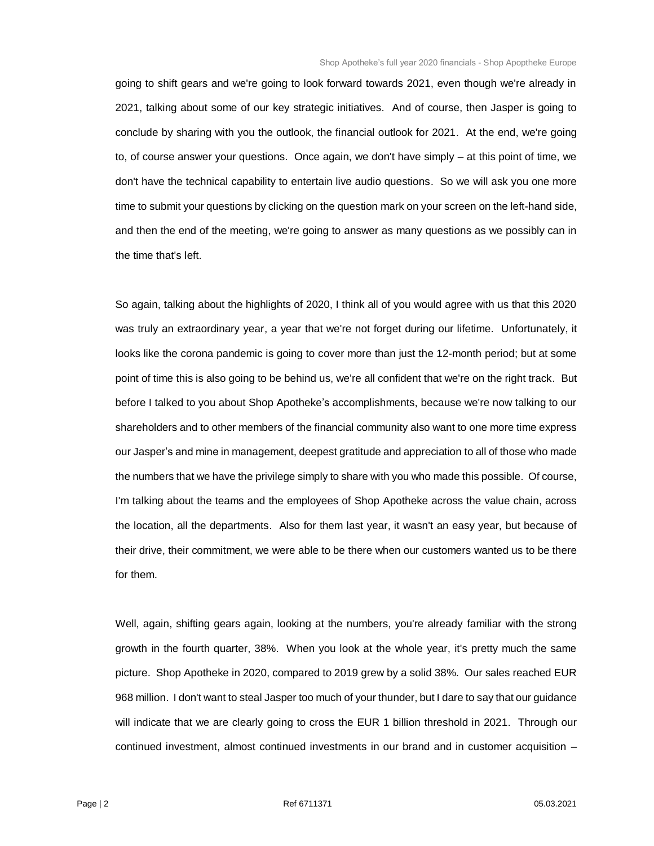going to shift gears and we're going to look forward towards 2021, even though we're already in 2021, talking about some of our key strategic initiatives. And of course, then Jasper is going to conclude by sharing with you the outlook, the financial outlook for 2021. At the end, we're going to, of course answer your questions. Once again, we don't have simply – at this point of time, we don't have the technical capability to entertain live audio questions. So we will ask you one more time to submit your questions by clicking on the question mark on your screen on the left-hand side, and then the end of the meeting, we're going to answer as many questions as we possibly can in the time that's left.

So again, talking about the highlights of 2020, I think all of you would agree with us that this 2020 was truly an extraordinary year, a year that we're not forget during our lifetime. Unfortunately, it looks like the corona pandemic is going to cover more than just the 12-month period; but at some point of time this is also going to be behind us, we're all confident that we're on the right track. But before I talked to you about Shop Apotheke's accomplishments, because we're now talking to our shareholders and to other members of the financial community also want to one more time express our Jasper's and mine in management, deepest gratitude and appreciation to all of those who made the numbers that we have the privilege simply to share with you who made this possible. Of course, I'm talking about the teams and the employees of Shop Apotheke across the value chain, across the location, all the departments. Also for them last year, it wasn't an easy year, but because of their drive, their commitment, we were able to be there when our customers wanted us to be there for them.

Well, again, shifting gears again, looking at the numbers, you're already familiar with the strong growth in the fourth quarter, 38%. When you look at the whole year, it's pretty much the same picture. Shop Apotheke in 2020, compared to 2019 grew by a solid 38%. Our sales reached EUR 968 million. I don't want to steal Jasper too much of your thunder, but I dare to say that our guidance will indicate that we are clearly going to cross the EUR 1 billion threshold in 2021. Through our continued investment, almost continued investments in our brand and in customer acquisition –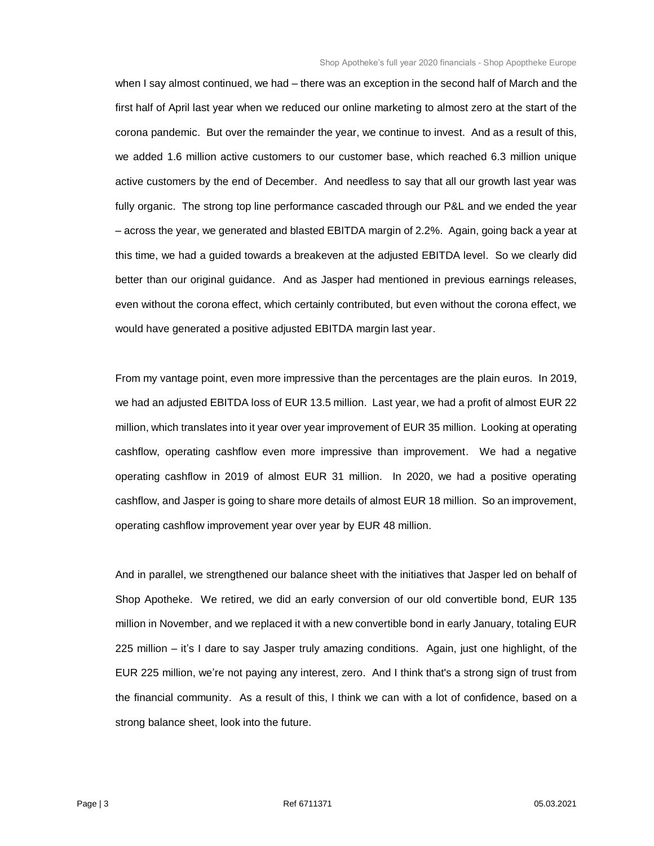when I say almost continued, we had – there was an exception in the second half of March and the first half of April last year when we reduced our online marketing to almost zero at the start of the corona pandemic. But over the remainder the year, we continue to invest. And as a result of this, we added 1.6 million active customers to our customer base, which reached 6.3 million unique active customers by the end of December. And needless to say that all our growth last year was fully organic. The strong top line performance cascaded through our P&L and we ended the year – across the year, we generated and blasted EBITDA margin of 2.2%. Again, going back a year at this time, we had a guided towards a breakeven at the adjusted EBITDA level. So we clearly did better than our original guidance. And as Jasper had mentioned in previous earnings releases, even without the corona effect, which certainly contributed, but even without the corona effect, we would have generated a positive adjusted EBITDA margin last year.

From my vantage point, even more impressive than the percentages are the plain euros. In 2019, we had an adjusted EBITDA loss of EUR 13.5 million. Last year, we had a profit of almost EUR 22 million, which translates into it year over year improvement of EUR 35 million. Looking at operating cashflow, operating cashflow even more impressive than improvement. We had a negative operating cashflow in 2019 of almost EUR 31 million. In 2020, we had a positive operating cashflow, and Jasper is going to share more details of almost EUR 18 million. So an improvement, operating cashflow improvement year over year by EUR 48 million.

And in parallel, we strengthened our balance sheet with the initiatives that Jasper led on behalf of Shop Apotheke. We retired, we did an early conversion of our old convertible bond, EUR 135 million in November, and we replaced it with a new convertible bond in early January, totaling EUR 225 million – it's I dare to say Jasper truly amazing conditions. Again, just one highlight, of the EUR 225 million, we're not paying any interest, zero. And I think that's a strong sign of trust from the financial community. As a result of this, I think we can with a lot of confidence, based on a strong balance sheet, look into the future.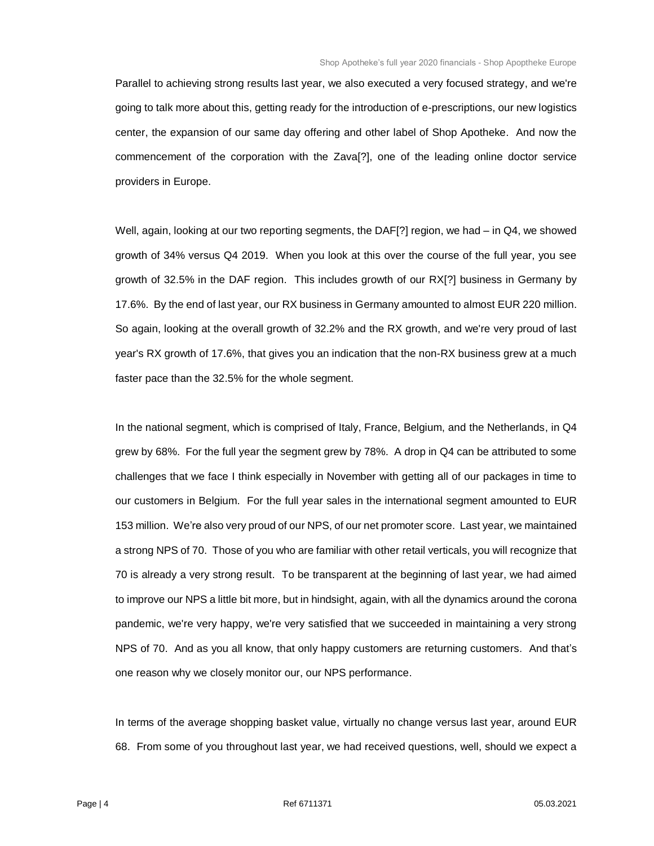Parallel to achieving strong results last year, we also executed a very focused strategy, and we're going to talk more about this, getting ready for the introduction of e-prescriptions, our new logistics center, the expansion of our same day offering and other label of Shop Apotheke. And now the commencement of the corporation with the Zava[?], one of the leading online doctor service providers in Europe.

Well, again, looking at our two reporting segments, the DAF[?] region, we had – in Q4, we showed growth of 34% versus Q4 2019. When you look at this over the course of the full year, you see growth of 32.5% in the DAF region. This includes growth of our RX[?] business in Germany by 17.6%. By the end of last year, our RX business in Germany amounted to almost EUR 220 million. So again, looking at the overall growth of 32.2% and the RX growth, and we're very proud of last year's RX growth of 17.6%, that gives you an indication that the non-RX business grew at a much faster pace than the 32.5% for the whole segment.

In the national segment, which is comprised of Italy, France, Belgium, and the Netherlands, in Q4 grew by 68%. For the full year the segment grew by 78%. A drop in Q4 can be attributed to some challenges that we face I think especially in November with getting all of our packages in time to our customers in Belgium. For the full year sales in the international segment amounted to EUR 153 million. We're also very proud of our NPS, of our net promoter score. Last year, we maintained a strong NPS of 70. Those of you who are familiar with other retail verticals, you will recognize that 70 is already a very strong result. To be transparent at the beginning of last year, we had aimed to improve our NPS a little bit more, but in hindsight, again, with all the dynamics around the corona pandemic, we're very happy, we're very satisfied that we succeeded in maintaining a very strong NPS of 70. And as you all know, that only happy customers are returning customers. And that's one reason why we closely monitor our, our NPS performance.

In terms of the average shopping basket value, virtually no change versus last year, around EUR 68. From some of you throughout last year, we had received questions, well, should we expect a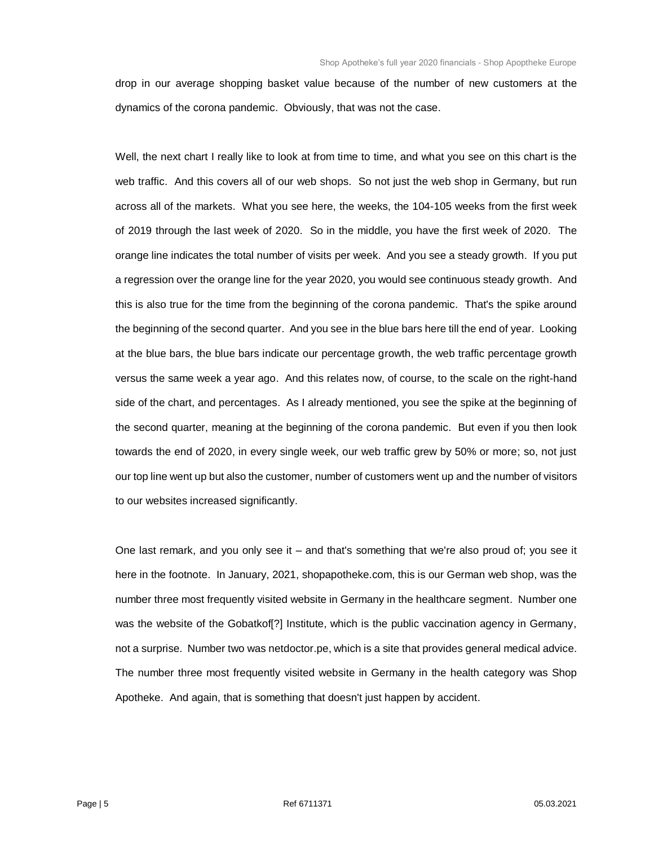drop in our average shopping basket value because of the number of new customers at the dynamics of the corona pandemic. Obviously, that was not the case.

Well, the next chart I really like to look at from time to time, and what you see on this chart is the web traffic. And this covers all of our web shops. So not just the web shop in Germany, but run across all of the markets. What you see here, the weeks, the 104-105 weeks from the first week of 2019 through the last week of 2020. So in the middle, you have the first week of 2020. The orange line indicates the total number of visits per week. And you see a steady growth. If you put a regression over the orange line for the year 2020, you would see continuous steady growth. And this is also true for the time from the beginning of the corona pandemic. That's the spike around the beginning of the second quarter. And you see in the blue bars here till the end of year. Looking at the blue bars, the blue bars indicate our percentage growth, the web traffic percentage growth versus the same week a year ago. And this relates now, of course, to the scale on the right-hand side of the chart, and percentages. As I already mentioned, you see the spike at the beginning of the second quarter, meaning at the beginning of the corona pandemic. But even if you then look towards the end of 2020, in every single week, our web traffic grew by 50% or more; so, not just our top line went up but also the customer, number of customers went up and the number of visitors to our websites increased significantly.

One last remark, and you only see it – and that's something that we're also proud of; you see it here in the footnote. In January, 2021, shopapotheke.com, this is our German web shop, was the number three most frequently visited website in Germany in the healthcare segment. Number one was the website of the Gobatkof[?] Institute, which is the public vaccination agency in Germany, not a surprise. Number two was netdoctor.pe, which is a site that provides general medical advice. The number three most frequently visited website in Germany in the health category was Shop Apotheke. And again, that is something that doesn't just happen by accident.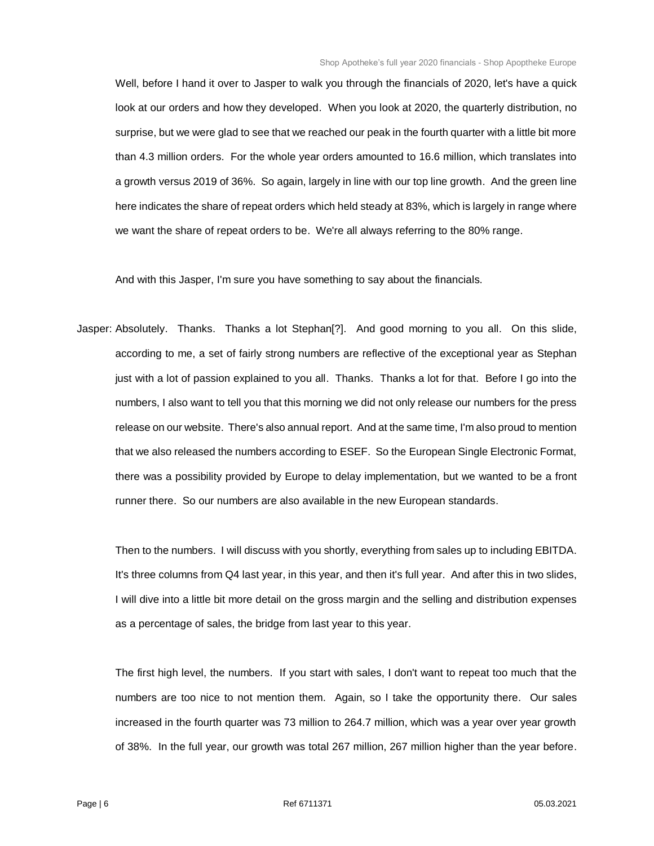Well, before I hand it over to Jasper to walk you through the financials of 2020, let's have a quick look at our orders and how they developed. When you look at 2020, the quarterly distribution, no surprise, but we were glad to see that we reached our peak in the fourth quarter with a little bit more than 4.3 million orders. For the whole year orders amounted to 16.6 million, which translates into a growth versus 2019 of 36%. So again, largely in line with our top line growth. And the green line here indicates the share of repeat orders which held steady at 83%, which is largely in range where we want the share of repeat orders to be. We're all always referring to the 80% range.

And with this Jasper, I'm sure you have something to say about the financials.

Jasper: Absolutely. Thanks. Thanks a lot Stephan[?]. And good morning to you all. On this slide, according to me, a set of fairly strong numbers are reflective of the exceptional year as Stephan just with a lot of passion explained to you all. Thanks. Thanks a lot for that. Before I go into the numbers, I also want to tell you that this morning we did not only release our numbers for the press release on our website. There's also annual report. And at the same time, I'm also proud to mention that we also released the numbers according to ESEF. So the European Single Electronic Format, there was a possibility provided by Europe to delay implementation, but we wanted to be a front runner there. So our numbers are also available in the new European standards.

Then to the numbers. I will discuss with you shortly, everything from sales up to including EBITDA. It's three columns from Q4 last year, in this year, and then it's full year. And after this in two slides, I will dive into a little bit more detail on the gross margin and the selling and distribution expenses as a percentage of sales, the bridge from last year to this year.

The first high level, the numbers. If you start with sales, I don't want to repeat too much that the numbers are too nice to not mention them. Again, so I take the opportunity there. Our sales increased in the fourth quarter was 73 million to 264.7 million, which was a year over year growth of 38%. In the full year, our growth was total 267 million, 267 million higher than the year before.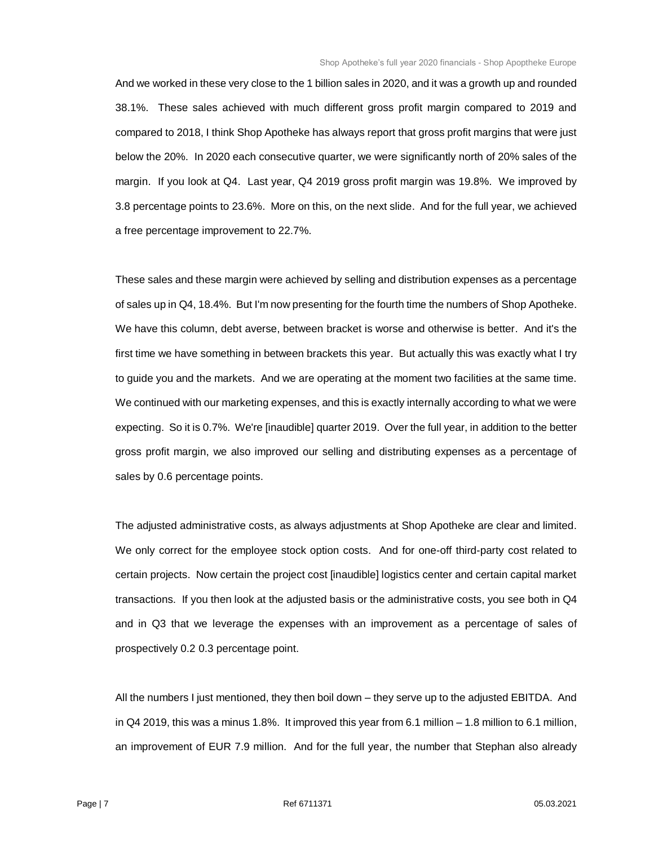And we worked in these very close to the 1 billion sales in 2020, and it was a growth up and rounded 38.1%. These sales achieved with much different gross profit margin compared to 2019 and compared to 2018, I think Shop Apotheke has always report that gross profit margins that were just below the 20%. In 2020 each consecutive quarter, we were significantly north of 20% sales of the margin. If you look at Q4. Last year, Q4 2019 gross profit margin was 19.8%. We improved by 3.8 percentage points to 23.6%. More on this, on the next slide. And for the full year, we achieved a free percentage improvement to 22.7%.

These sales and these margin were achieved by selling and distribution expenses as a percentage of sales up in Q4, 18.4%. But I'm now presenting for the fourth time the numbers of Shop Apotheke. We have this column, debt averse, between bracket is worse and otherwise is better. And it's the first time we have something in between brackets this year. But actually this was exactly what I try to guide you and the markets. And we are operating at the moment two facilities at the same time. We continued with our marketing expenses, and this is exactly internally according to what we were expecting. So it is 0.7%. We're [inaudible] quarter 2019. Over the full year, in addition to the better gross profit margin, we also improved our selling and distributing expenses as a percentage of sales by 0.6 percentage points.

The adjusted administrative costs, as always adjustments at Shop Apotheke are clear and limited. We only correct for the employee stock option costs. And for one-off third-party cost related to certain projects. Now certain the project cost [inaudible] logistics center and certain capital market transactions. If you then look at the adjusted basis or the administrative costs, you see both in Q4 and in Q3 that we leverage the expenses with an improvement as a percentage of sales of prospectively 0.2 0.3 percentage point.

All the numbers I just mentioned, they then boil down – they serve up to the adjusted EBITDA. And in Q4 2019, this was a minus 1.8%. It improved this year from 6.1 million – 1.8 million to 6.1 million, an improvement of EUR 7.9 million. And for the full year, the number that Stephan also already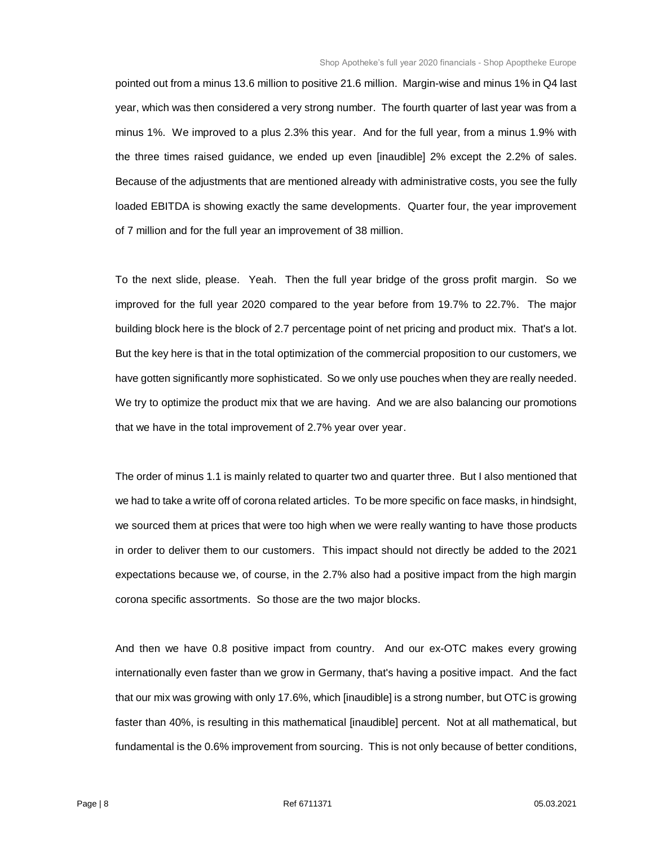pointed out from a minus 13.6 million to positive 21.6 million. Margin-wise and minus 1% in Q4 last year, which was then considered a very strong number. The fourth quarter of last year was from a minus 1%. We improved to a plus 2.3% this year. And for the full year, from a minus 1.9% with the three times raised guidance, we ended up even [inaudible] 2% except the 2.2% of sales. Because of the adjustments that are mentioned already with administrative costs, you see the fully loaded EBITDA is showing exactly the same developments. Quarter four, the year improvement of 7 million and for the full year an improvement of 38 million.

To the next slide, please. Yeah. Then the full year bridge of the gross profit margin. So we improved for the full year 2020 compared to the year before from 19.7% to 22.7%. The major building block here is the block of 2.7 percentage point of net pricing and product mix. That's a lot. But the key here is that in the total optimization of the commercial proposition to our customers, we have gotten significantly more sophisticated. So we only use pouches when they are really needed. We try to optimize the product mix that we are having. And we are also balancing our promotions that we have in the total improvement of 2.7% year over year.

The order of minus 1.1 is mainly related to quarter two and quarter three. But I also mentioned that we had to take a write off of corona related articles. To be more specific on face masks, in hindsight, we sourced them at prices that were too high when we were really wanting to have those products in order to deliver them to our customers. This impact should not directly be added to the 2021 expectations because we, of course, in the 2.7% also had a positive impact from the high margin corona specific assortments. So those are the two major blocks.

And then we have 0.8 positive impact from country. And our ex-OTC makes every growing internationally even faster than we grow in Germany, that's having a positive impact. And the fact that our mix was growing with only 17.6%, which [inaudible] is a strong number, but OTC is growing faster than 40%, is resulting in this mathematical [inaudible] percent. Not at all mathematical, but fundamental is the 0.6% improvement from sourcing. This is not only because of better conditions,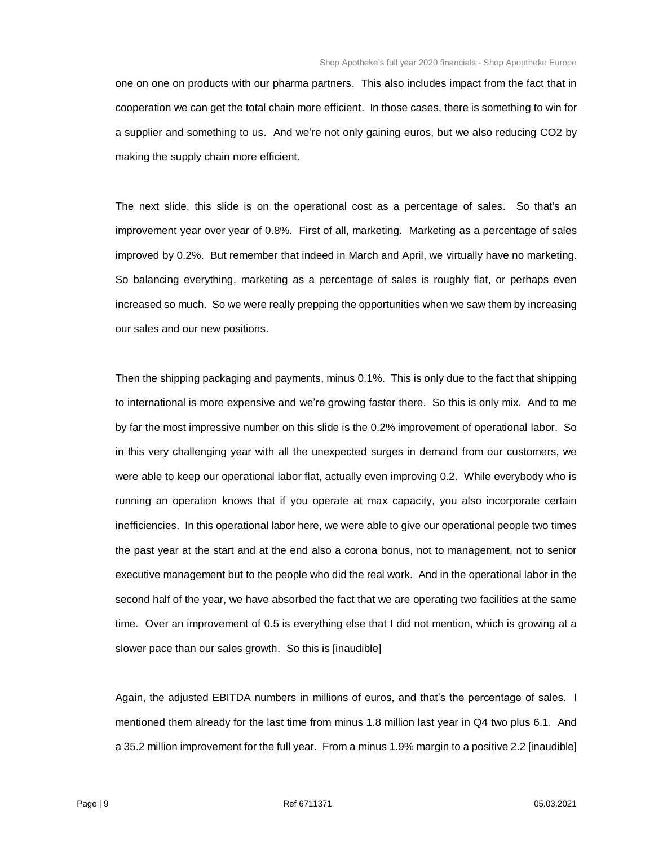one on one on products with our pharma partners. This also includes impact from the fact that in cooperation we can get the total chain more efficient. In those cases, there is something to win for a supplier and something to us. And we're not only gaining euros, but we also reducing CO2 by making the supply chain more efficient.

The next slide, this slide is on the operational cost as a percentage of sales. So that's an improvement year over year of 0.8%. First of all, marketing. Marketing as a percentage of sales improved by 0.2%. But remember that indeed in March and April, we virtually have no marketing. So balancing everything, marketing as a percentage of sales is roughly flat, or perhaps even increased so much. So we were really prepping the opportunities when we saw them by increasing our sales and our new positions.

Then the shipping packaging and payments, minus 0.1%. This is only due to the fact that shipping to international is more expensive and we're growing faster there. So this is only mix. And to me by far the most impressive number on this slide is the 0.2% improvement of operational labor. So in this very challenging year with all the unexpected surges in demand from our customers, we were able to keep our operational labor flat, actually even improving 0.2. While everybody who is running an operation knows that if you operate at max capacity, you also incorporate certain inefficiencies. In this operational labor here, we were able to give our operational people two times the past year at the start and at the end also a corona bonus, not to management, not to senior executive management but to the people who did the real work. And in the operational labor in the second half of the year, we have absorbed the fact that we are operating two facilities at the same time. Over an improvement of 0.5 is everything else that I did not mention, which is growing at a slower pace than our sales growth. So this is [inaudible]

Again, the adjusted EBITDA numbers in millions of euros, and that's the percentage of sales. I mentioned them already for the last time from minus 1.8 million last year in Q4 two plus 6.1. And a 35.2 million improvement for the full year. From a minus 1.9% margin to a positive 2.2 [inaudible]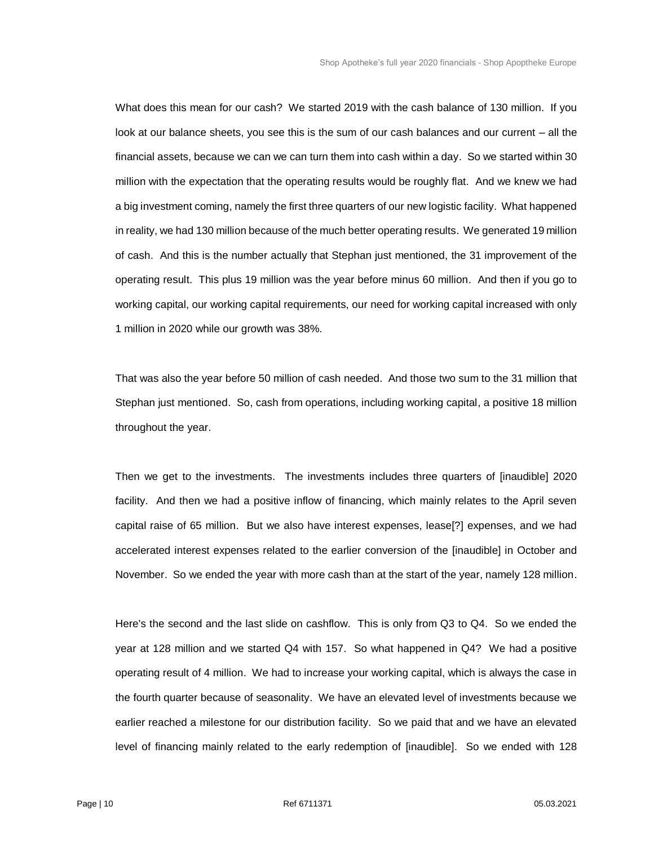What does this mean for our cash? We started 2019 with the cash balance of 130 million. If you look at our balance sheets, you see this is the sum of our cash balances and our current – all the financial assets, because we can we can turn them into cash within a day. So we started within 30 million with the expectation that the operating results would be roughly flat. And we knew we had a big investment coming, namely the first three quarters of our new logistic facility. What happened in reality, we had 130 million because of the much better operating results. We generated 19 million of cash. And this is the number actually that Stephan just mentioned, the 31 improvement of the operating result. This plus 19 million was the year before minus 60 million. And then if you go to working capital, our working capital requirements, our need for working capital increased with only 1 million in 2020 while our growth was 38%.

That was also the year before 50 million of cash needed. And those two sum to the 31 million that Stephan just mentioned. So, cash from operations, including working capital, a positive 18 million throughout the year.

Then we get to the investments. The investments includes three quarters of [inaudible] 2020 facility. And then we had a positive inflow of financing, which mainly relates to the April seven capital raise of 65 million. But we also have interest expenses, lease[?] expenses, and we had accelerated interest expenses related to the earlier conversion of the [inaudible] in October and November. So we ended the year with more cash than at the start of the year, namely 128 million.

Here's the second and the last slide on cashflow. This is only from Q3 to Q4. So we ended the year at 128 million and we started Q4 with 157. So what happened in Q4? We had a positive operating result of 4 million. We had to increase your working capital, which is always the case in the fourth quarter because of seasonality. We have an elevated level of investments because we earlier reached a milestone for our distribution facility. So we paid that and we have an elevated level of financing mainly related to the early redemption of [inaudible]. So we ended with 128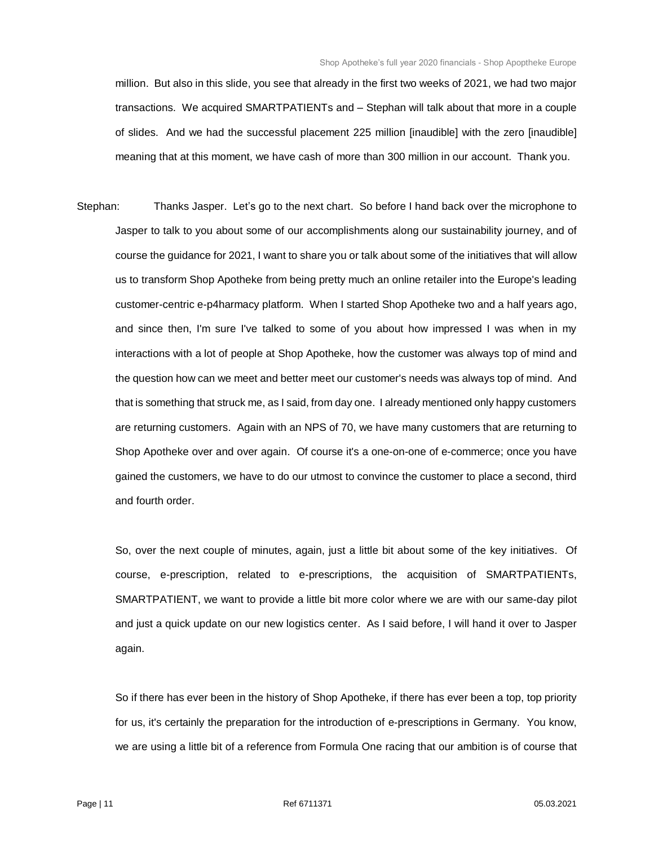million. But also in this slide, you see that already in the first two weeks of 2021, we had two major transactions. We acquired SMARTPATIENTs and – Stephan will talk about that more in a couple of slides. And we had the successful placement 225 million [inaudible] with the zero [inaudible] meaning that at this moment, we have cash of more than 300 million in our account. Thank you.

Stephan: Thanks Jasper. Let's go to the next chart. So before I hand back over the microphone to Jasper to talk to you about some of our accomplishments along our sustainability journey, and of course the guidance for 2021, I want to share you or talk about some of the initiatives that will allow us to transform Shop Apotheke from being pretty much an online retailer into the Europe's leading customer-centric e-p4harmacy platform. When I started Shop Apotheke two and a half years ago, and since then, I'm sure I've talked to some of you about how impressed I was when in my interactions with a lot of people at Shop Apotheke, how the customer was always top of mind and the question how can we meet and better meet our customer's needs was always top of mind. And that is something that struck me, as I said, from day one. I already mentioned only happy customers are returning customers. Again with an NPS of 70, we have many customers that are returning to Shop Apotheke over and over again. Of course it's a one-on-one of e-commerce; once you have gained the customers, we have to do our utmost to convince the customer to place a second, third and fourth order.

So, over the next couple of minutes, again, just a little bit about some of the key initiatives. Of course, e-prescription, related to e-prescriptions, the acquisition of SMARTPATIENTs, SMARTPATIENT, we want to provide a little bit more color where we are with our same-day pilot and just a quick update on our new logistics center. As I said before, I will hand it over to Jasper again.

So if there has ever been in the history of Shop Apotheke, if there has ever been a top, top priority for us, it's certainly the preparation for the introduction of e-prescriptions in Germany. You know, we are using a little bit of a reference from Formula One racing that our ambition is of course that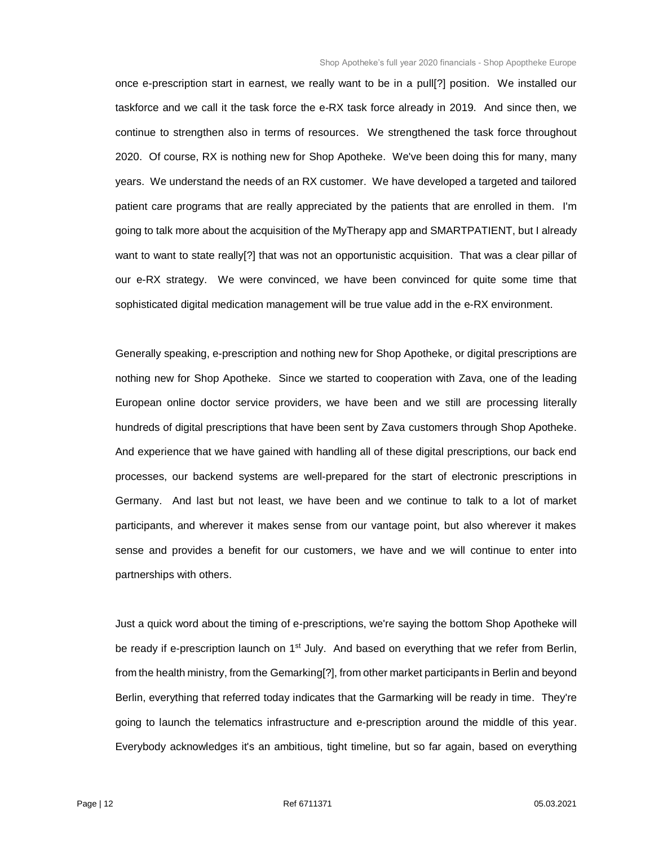once e-prescription start in earnest, we really want to be in a pull[?] position. We installed our taskforce and we call it the task force the e-RX task force already in 2019. And since then, we continue to strengthen also in terms of resources. We strengthened the task force throughout 2020. Of course, RX is nothing new for Shop Apotheke. We've been doing this for many, many years. We understand the needs of an RX customer. We have developed a targeted and tailored patient care programs that are really appreciated by the patients that are enrolled in them. I'm going to talk more about the acquisition of the MyTherapy app and SMARTPATIENT, but I already want to want to state really<sup>[?]</sup> that was not an opportunistic acquisition. That was a clear pillar of our e-RX strategy. We were convinced, we have been convinced for quite some time that sophisticated digital medication management will be true value add in the e-RX environment.

Generally speaking, e-prescription and nothing new for Shop Apotheke, or digital prescriptions are nothing new for Shop Apotheke. Since we started to cooperation with Zava, one of the leading European online doctor service providers, we have been and we still are processing literally hundreds of digital prescriptions that have been sent by Zava customers through Shop Apotheke. And experience that we have gained with handling all of these digital prescriptions, our back end processes, our backend systems are well-prepared for the start of electronic prescriptions in Germany. And last but not least, we have been and we continue to talk to a lot of market participants, and wherever it makes sense from our vantage point, but also wherever it makes sense and provides a benefit for our customers, we have and we will continue to enter into partnerships with others.

Just a quick word about the timing of e-prescriptions, we're saying the bottom Shop Apotheke will be ready if e-prescription launch on 1<sup>st</sup> July. And based on everything that we refer from Berlin, from the health ministry, from the Gemarking[?], from other market participants in Berlin and beyond Berlin, everything that referred today indicates that the Garmarking will be ready in time. They're going to launch the telematics infrastructure and e-prescription around the middle of this year. Everybody acknowledges it's an ambitious, tight timeline, but so far again, based on everything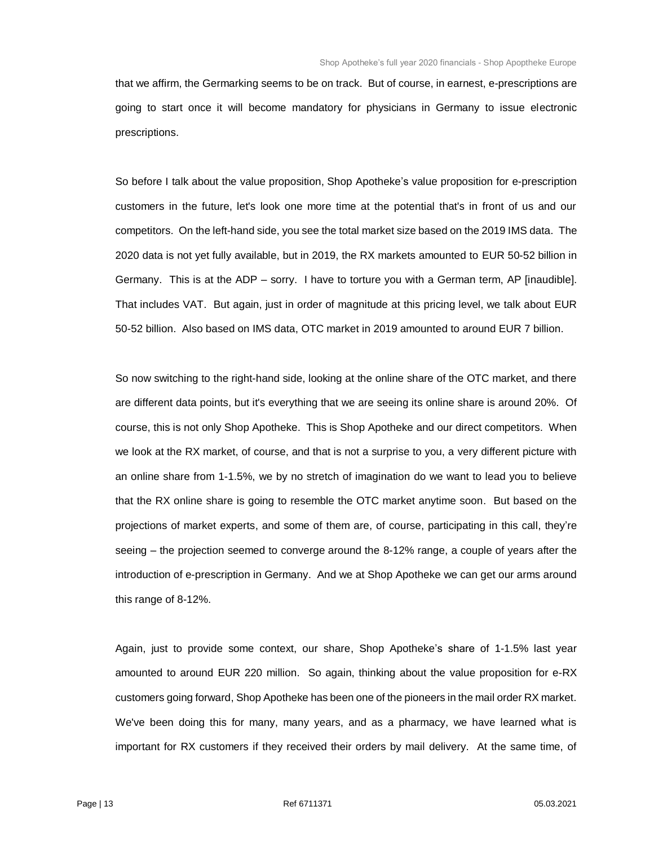that we affirm, the Germarking seems to be on track. But of course, in earnest, e-prescriptions are going to start once it will become mandatory for physicians in Germany to issue electronic prescriptions.

So before I talk about the value proposition, Shop Apotheke's value proposition for e-prescription customers in the future, let's look one more time at the potential that's in front of us and our competitors. On the left-hand side, you see the total market size based on the 2019 IMS data. The 2020 data is not yet fully available, but in 2019, the RX markets amounted to EUR 50-52 billion in Germany. This is at the ADP – sorry. I have to torture you with a German term, AP [inaudible]. That includes VAT. But again, just in order of magnitude at this pricing level, we talk about EUR 50-52 billion. Also based on IMS data, OTC market in 2019 amounted to around EUR 7 billion.

So now switching to the right-hand side, looking at the online share of the OTC market, and there are different data points, but it's everything that we are seeing its online share is around 20%. Of course, this is not only Shop Apotheke. This is Shop Apotheke and our direct competitors. When we look at the RX market, of course, and that is not a surprise to you, a very different picture with an online share from 1-1.5%, we by no stretch of imagination do we want to lead you to believe that the RX online share is going to resemble the OTC market anytime soon. But based on the projections of market experts, and some of them are, of course, participating in this call, they're seeing – the projection seemed to converge around the 8-12% range, a couple of years after the introduction of e-prescription in Germany. And we at Shop Apotheke we can get our arms around this range of 8-12%.

Again, just to provide some context, our share, Shop Apotheke's share of 1-1.5% last year amounted to around EUR 220 million. So again, thinking about the value proposition for e-RX customers going forward, Shop Apotheke has been one of the pioneers in the mail order RX market. We've been doing this for many, many years, and as a pharmacy, we have learned what is important for RX customers if they received their orders by mail delivery. At the same time, of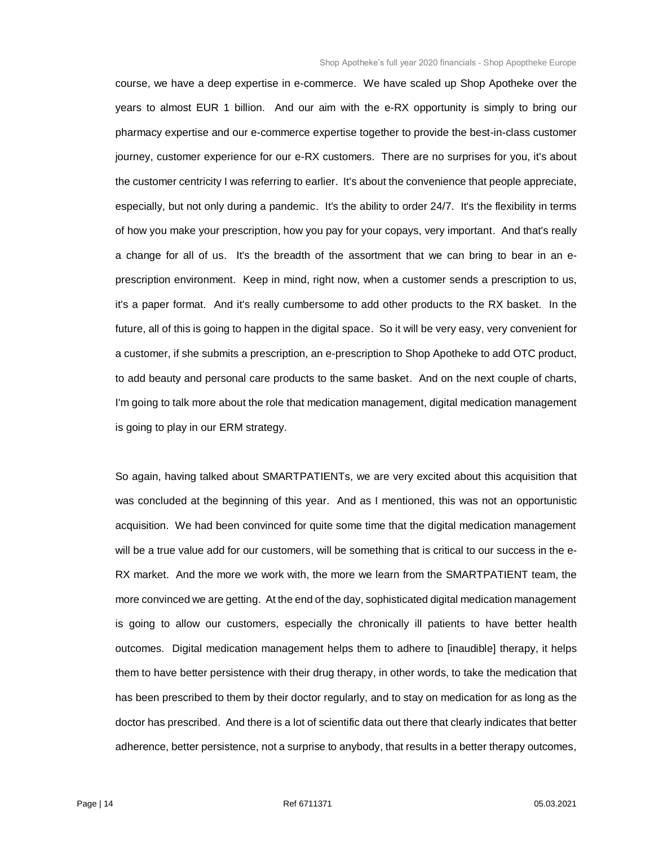course, we have a deep expertise in e-commerce. We have scaled up Shop Apotheke over the years to almost EUR 1 billion. And our aim with the e-RX opportunity is simply to bring our pharmacy expertise and our e-commerce expertise together to provide the best-in-class customer journey, customer experience for our e-RX customers. There are no surprises for you, it's about the customer centricity I was referring to earlier. It's about the convenience that people appreciate, especially, but not only during a pandemic. It's the ability to order 24/7. It's the flexibility in terms of how you make your prescription, how you pay for your copays, very important. And that's really a change for all of us. It's the breadth of the assortment that we can bring to bear in an eprescription environment. Keep in mind, right now, when a customer sends a prescription to us, it's a paper format. And it's really cumbersome to add other products to the RX basket. In the future, all of this is going to happen in the digital space. So it will be very easy, very convenient for a customer, if she submits a prescription, an e-prescription to Shop Apotheke to add OTC product, to add beauty and personal care products to the same basket. And on the next couple of charts, I'm going to talk more about the role that medication management, digital medication management is going to play in our ERM strategy.

So again, having talked about SMARTPATIENTs, we are very excited about this acquisition that was concluded at the beginning of this year. And as I mentioned, this was not an opportunistic acquisition. We had been convinced for quite some time that the digital medication management will be a true value add for our customers, will be something that is critical to our success in the e-RX market. And the more we work with, the more we learn from the SMARTPATIENT team, the more convinced we are getting. At the end of the day, sophisticated digital medication management is going to allow our customers, especially the chronically ill patients to have better health outcomes. Digital medication management helps them to adhere to [inaudible] therapy, it helps them to have better persistence with their drug therapy, in other words, to take the medication that has been prescribed to them by their doctor regularly, and to stay on medication for as long as the doctor has prescribed. And there is a lot of scientific data out there that clearly indicates that better adherence, better persistence, not a surprise to anybody, that results in a better therapy outcomes,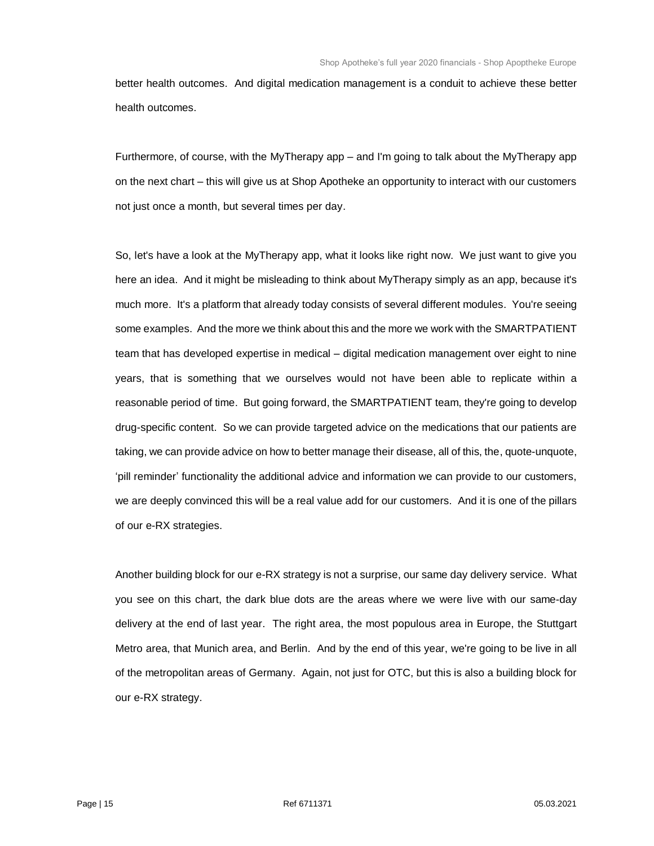better health outcomes. And digital medication management is a conduit to achieve these better health outcomes.

Furthermore, of course, with the MyTherapy app – and I'm going to talk about the MyTherapy app on the next chart – this will give us at Shop Apotheke an opportunity to interact with our customers not just once a month, but several times per day.

So, let's have a look at the MyTherapy app, what it looks like right now. We just want to give you here an idea. And it might be misleading to think about MyTherapy simply as an app, because it's much more. It's a platform that already today consists of several different modules. You're seeing some examples. And the more we think about this and the more we work with the SMARTPATIENT team that has developed expertise in medical – digital medication management over eight to nine years, that is something that we ourselves would not have been able to replicate within a reasonable period of time. But going forward, the SMARTPATIENT team, they're going to develop drug-specific content. So we can provide targeted advice on the medications that our patients are taking, we can provide advice on how to better manage their disease, all of this, the, quote-unquote, 'pill reminder' functionality the additional advice and information we can provide to our customers, we are deeply convinced this will be a real value add for our customers. And it is one of the pillars of our e-RX strategies.

Another building block for our e-RX strategy is not a surprise, our same day delivery service. What you see on this chart, the dark blue dots are the areas where we were live with our same-day delivery at the end of last year. The right area, the most populous area in Europe, the Stuttgart Metro area, that Munich area, and Berlin. And by the end of this year, we're going to be live in all of the metropolitan areas of Germany. Again, not just for OTC, but this is also a building block for our e-RX strategy.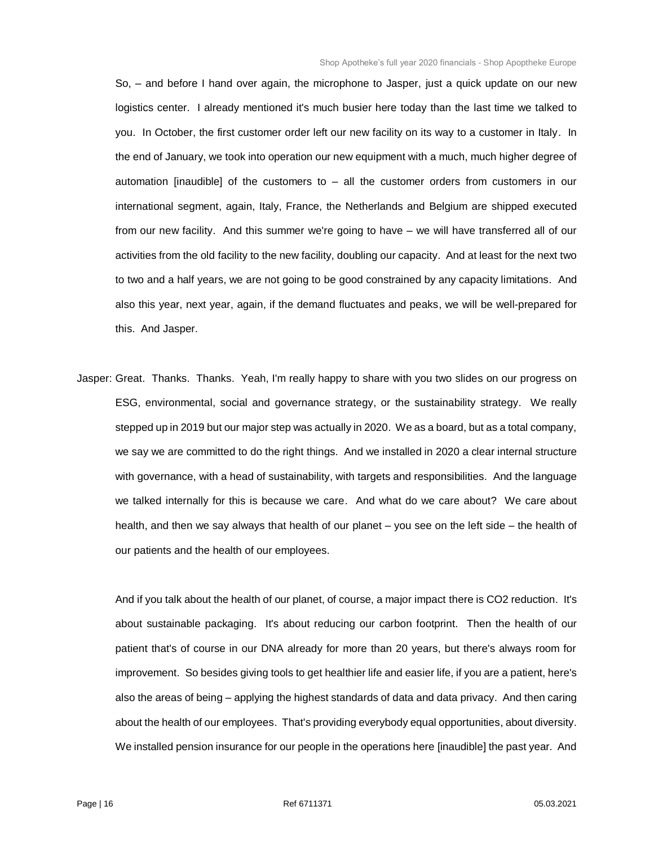So, – and before I hand over again, the microphone to Jasper, just a quick update on our new logistics center. I already mentioned it's much busier here today than the last time we talked to you. In October, the first customer order left our new facility on its way to a customer in Italy. In the end of January, we took into operation our new equipment with a much, much higher degree of automation [inaudible] of the customers to – all the customer orders from customers in our international segment, again, Italy, France, the Netherlands and Belgium are shipped executed from our new facility. And this summer we're going to have – we will have transferred all of our activities from the old facility to the new facility, doubling our capacity. And at least for the next two to two and a half years, we are not going to be good constrained by any capacity limitations. And also this year, next year, again, if the demand fluctuates and peaks, we will be well-prepared for this. And Jasper.

Jasper: Great. Thanks. Thanks. Yeah, I'm really happy to share with you two slides on our progress on ESG, environmental, social and governance strategy, or the sustainability strategy. We really stepped up in 2019 but our major step was actually in 2020. We as a board, but as a total company, we say we are committed to do the right things. And we installed in 2020 a clear internal structure with governance, with a head of sustainability, with targets and responsibilities. And the language we talked internally for this is because we care. And what do we care about? We care about health, and then we say always that health of our planet – you see on the left side – the health of our patients and the health of our employees.

And if you talk about the health of our planet, of course, a major impact there is CO2 reduction. It's about sustainable packaging. It's about reducing our carbon footprint. Then the health of our patient that's of course in our DNA already for more than 20 years, but there's always room for improvement. So besides giving tools to get healthier life and easier life, if you are a patient, here's also the areas of being – applying the highest standards of data and data privacy. And then caring about the health of our employees. That's providing everybody equal opportunities, about diversity. We installed pension insurance for our people in the operations here [inaudible] the past year. And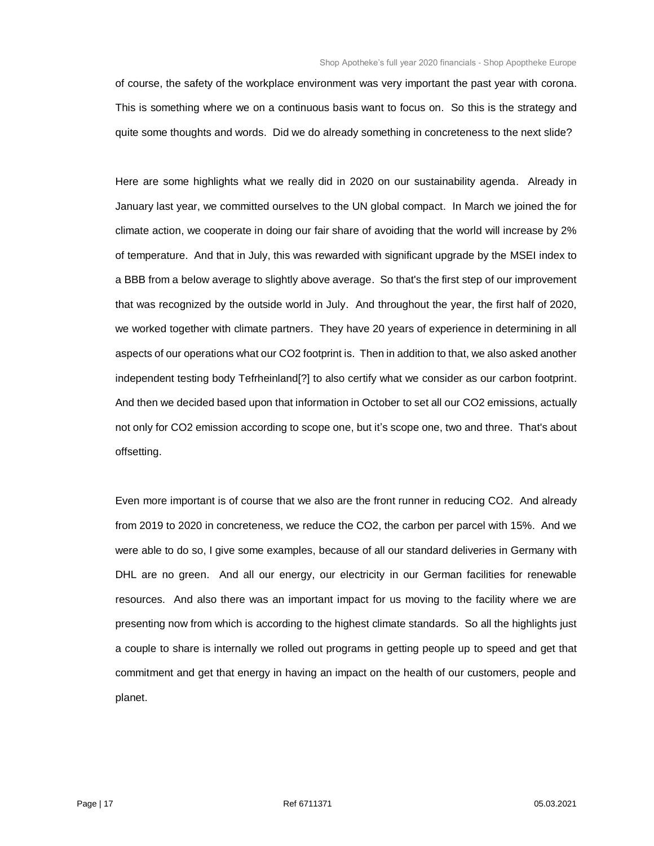of course, the safety of the workplace environment was very important the past year with corona. This is something where we on a continuous basis want to focus on. So this is the strategy and quite some thoughts and words. Did we do already something in concreteness to the next slide?

Here are some highlights what we really did in 2020 on our sustainability agenda. Already in January last year, we committed ourselves to the UN global compact. In March we joined the for climate action, we cooperate in doing our fair share of avoiding that the world will increase by 2% of temperature. And that in July, this was rewarded with significant upgrade by the MSEI index to a BBB from a below average to slightly above average. So that's the first step of our improvement that was recognized by the outside world in July. And throughout the year, the first half of 2020, we worked together with climate partners. They have 20 years of experience in determining in all aspects of our operations what our CO2 footprint is. Then in addition to that, we also asked another independent testing body Tefrheinland[?] to also certify what we consider as our carbon footprint. And then we decided based upon that information in October to set all our CO2 emissions, actually not only for CO2 emission according to scope one, but it's scope one, two and three. That's about offsetting.

Even more important is of course that we also are the front runner in reducing CO2. And already from 2019 to 2020 in concreteness, we reduce the CO2, the carbon per parcel with 15%. And we were able to do so, I give some examples, because of all our standard deliveries in Germany with DHL are no green. And all our energy, our electricity in our German facilities for renewable resources. And also there was an important impact for us moving to the facility where we are presenting now from which is according to the highest climate standards. So all the highlights just a couple to share is internally we rolled out programs in getting people up to speed and get that commitment and get that energy in having an impact on the health of our customers, people and planet.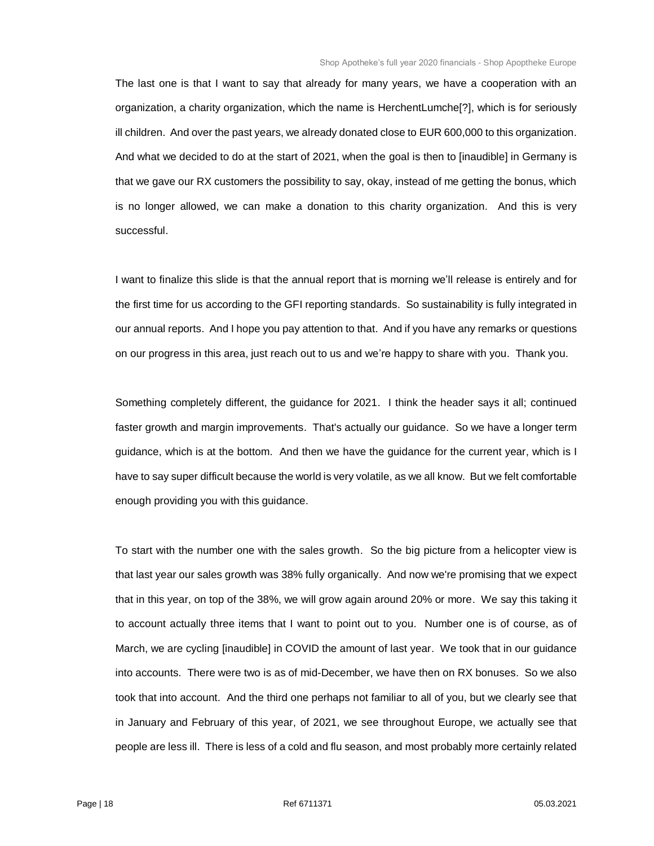The last one is that I want to say that already for many years, we have a cooperation with an organization, a charity organization, which the name is HerchentLumche[?], which is for seriously ill children. And over the past years, we already donated close to EUR 600,000 to this organization. And what we decided to do at the start of 2021, when the goal is then to [inaudible] in Germany is that we gave our RX customers the possibility to say, okay, instead of me getting the bonus, which is no longer allowed, we can make a donation to this charity organization. And this is very successful.

I want to finalize this slide is that the annual report that is morning we'll release is entirely and for the first time for us according to the GFI reporting standards. So sustainability is fully integrated in our annual reports. And I hope you pay attention to that. And if you have any remarks or questions on our progress in this area, just reach out to us and we're happy to share with you. Thank you.

Something completely different, the guidance for 2021. I think the header says it all; continued faster growth and margin improvements. That's actually our guidance. So we have a longer term guidance, which is at the bottom. And then we have the guidance for the current year, which is I have to say super difficult because the world is very volatile, as we all know. But we felt comfortable enough providing you with this guidance.

To start with the number one with the sales growth. So the big picture from a helicopter view is that last year our sales growth was 38% fully organically. And now we're promising that we expect that in this year, on top of the 38%, we will grow again around 20% or more. We say this taking it to account actually three items that I want to point out to you. Number one is of course, as of March, we are cycling [inaudible] in COVID the amount of last year. We took that in our guidance into accounts. There were two is as of mid-December, we have then on RX bonuses. So we also took that into account. And the third one perhaps not familiar to all of you, but we clearly see that in January and February of this year, of 2021, we see throughout Europe, we actually see that people are less ill. There is less of a cold and flu season, and most probably more certainly related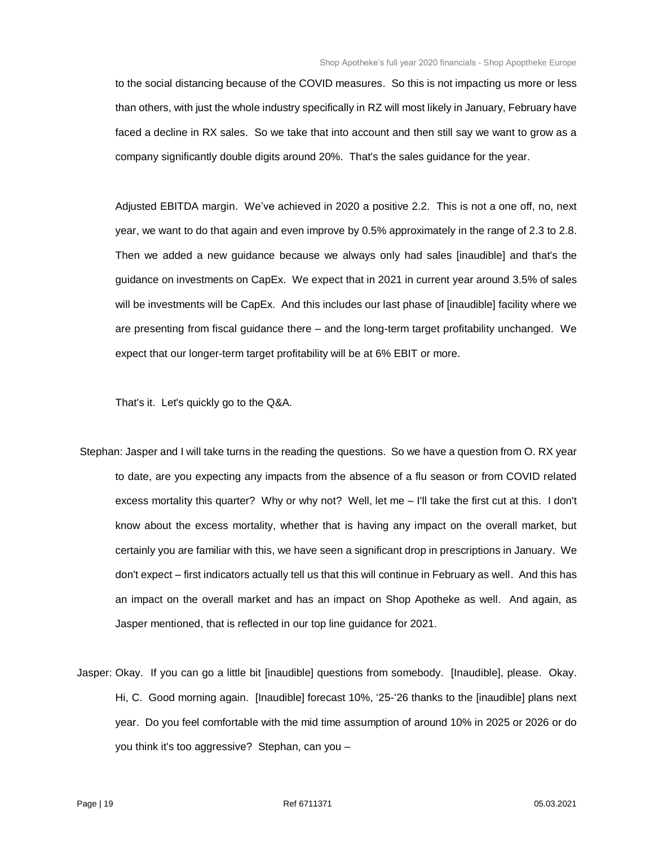to the social distancing because of the COVID measures. So this is not impacting us more or less than others, with just the whole industry specifically in RZ will most likely in January, February have faced a decline in RX sales. So we take that into account and then still say we want to grow as a company significantly double digits around 20%. That's the sales guidance for the year.

Adjusted EBITDA margin. We've achieved in 2020 a positive 2.2. This is not a one off, no, next year, we want to do that again and even improve by 0.5% approximately in the range of 2.3 to 2.8. Then we added a new guidance because we always only had sales [inaudible] and that's the guidance on investments on CapEx. We expect that in 2021 in current year around 3.5% of sales will be investments will be CapEx. And this includes our last phase of [inaudible] facility where we are presenting from fiscal guidance there – and the long-term target profitability unchanged. We expect that our longer-term target profitability will be at 6% EBIT or more.

That's it. Let's quickly go to the Q&A.

- Stephan: Jasper and I will take turns in the reading the questions. So we have a question from O. RX year to date, are you expecting any impacts from the absence of a flu season or from COVID related excess mortality this quarter? Why or why not? Well, let me – I'll take the first cut at this. I don't know about the excess mortality, whether that is having any impact on the overall market, but certainly you are familiar with this, we have seen a significant drop in prescriptions in January. We don't expect – first indicators actually tell us that this will continue in February as well. And this has an impact on the overall market and has an impact on Shop Apotheke as well. And again, as Jasper mentioned, that is reflected in our top line guidance for 2021.
- Jasper: Okay. If you can go a little bit [inaudible] questions from somebody. [Inaudible], please. Okay. Hi, C. Good morning again. [Inaudible] forecast 10%, '25-'26 thanks to the [inaudible] plans next year. Do you feel comfortable with the mid time assumption of around 10% in 2025 or 2026 or do you think it's too aggressive? Stephan, can you –

Page | 19 Ref 6711371 05.03.2021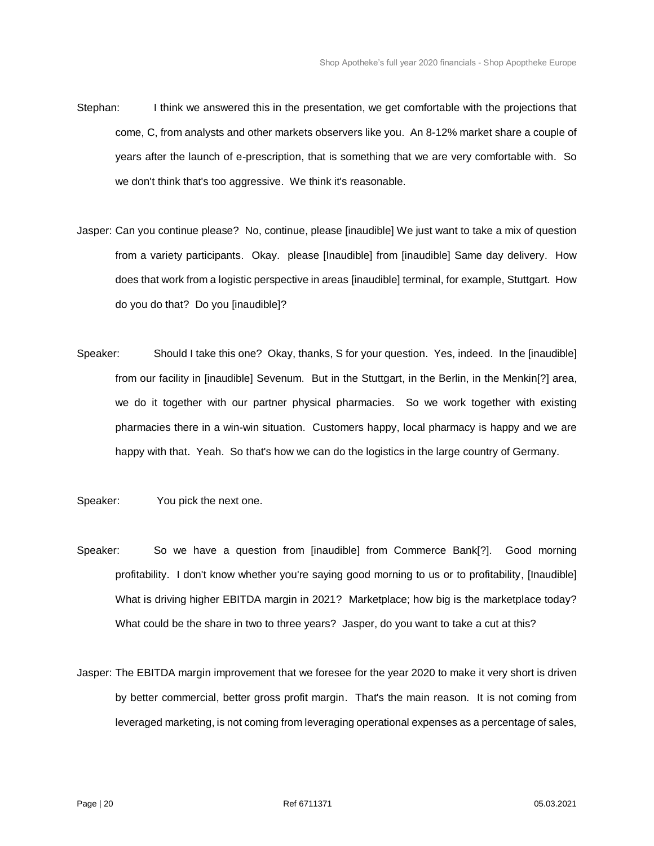- Stephan: I think we answered this in the presentation, we get comfortable with the projections that come, C, from analysts and other markets observers like you. An 8-12% market share a couple of years after the launch of e-prescription, that is something that we are very comfortable with. So we don't think that's too aggressive. We think it's reasonable.
- Jasper: Can you continue please? No, continue, please [inaudible] We just want to take a mix of question from a variety participants. Okay. please [Inaudible] from [inaudible] Same day delivery. How does that work from a logistic perspective in areas [inaudible] terminal, for example, Stuttgart. How do you do that? Do you [inaudible]?
- Speaker: Should I take this one? Okay, thanks, S for your question. Yes, indeed. In the [inaudible] from our facility in [inaudible] Sevenum. But in the Stuttgart, in the Berlin, in the Menkin[?] area, we do it together with our partner physical pharmacies. So we work together with existing pharmacies there in a win-win situation. Customers happy, local pharmacy is happy and we are happy with that. Yeah. So that's how we can do the logistics in the large country of Germany.
- Speaker: You pick the next one.
- Speaker: So we have a question from [inaudible] from Commerce Bank[?]. Good morning profitability. I don't know whether you're saying good morning to us or to profitability, [Inaudible] What is driving higher EBITDA margin in 2021? Marketplace; how big is the marketplace today? What could be the share in two to three years? Jasper, do you want to take a cut at this?
- Jasper: The EBITDA margin improvement that we foresee for the year 2020 to make it very short is driven by better commercial, better gross profit margin. That's the main reason. It is not coming from leveraged marketing, is not coming from leveraging operational expenses as a percentage of sales,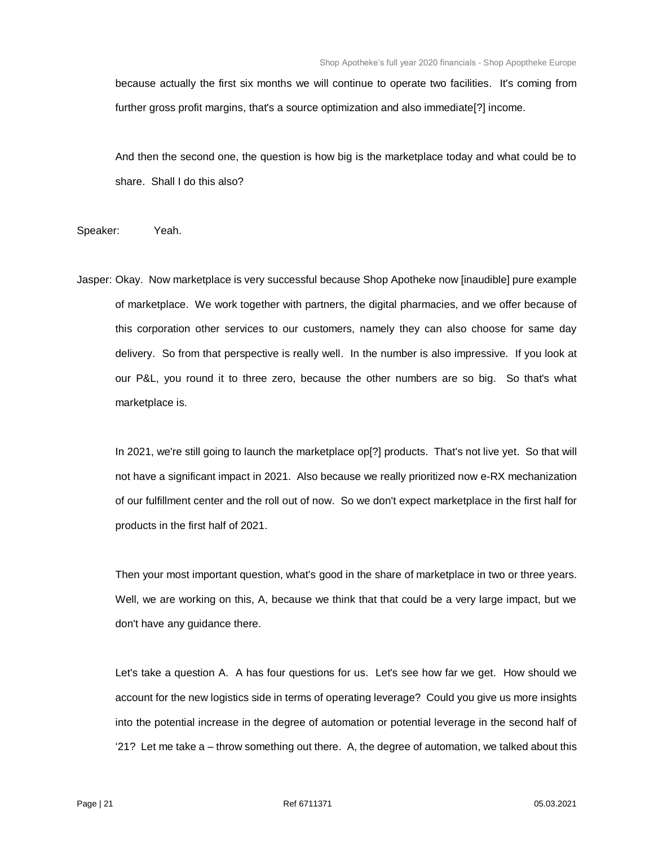because actually the first six months we will continue to operate two facilities. It's coming from further gross profit margins, that's a source optimization and also immediate[?] income.

And then the second one, the question is how big is the marketplace today and what could be to share. Shall I do this also?

Speaker: Yeah.

Jasper: Okay. Now marketplace is very successful because Shop Apotheke now [inaudible] pure example of marketplace. We work together with partners, the digital pharmacies, and we offer because of this corporation other services to our customers, namely they can also choose for same day delivery. So from that perspective is really well. In the number is also impressive. If you look at our P&L, you round it to three zero, because the other numbers are so big. So that's what marketplace is.

In 2021, we're still going to launch the marketplace op[?] products. That's not live yet. So that will not have a significant impact in 2021. Also because we really prioritized now e-RX mechanization of our fulfillment center and the roll out of now. So we don't expect marketplace in the first half for products in the first half of 2021.

Then your most important question, what's good in the share of marketplace in two or three years. Well, we are working on this, A, because we think that that could be a very large impact, but we don't have any guidance there.

Let's take a question A. A has four questions for us. Let's see how far we get. How should we account for the new logistics side in terms of operating leverage? Could you give us more insights into the potential increase in the degree of automation or potential leverage in the second half of '21? Let me take a – throw something out there. A, the degree of automation, we talked about this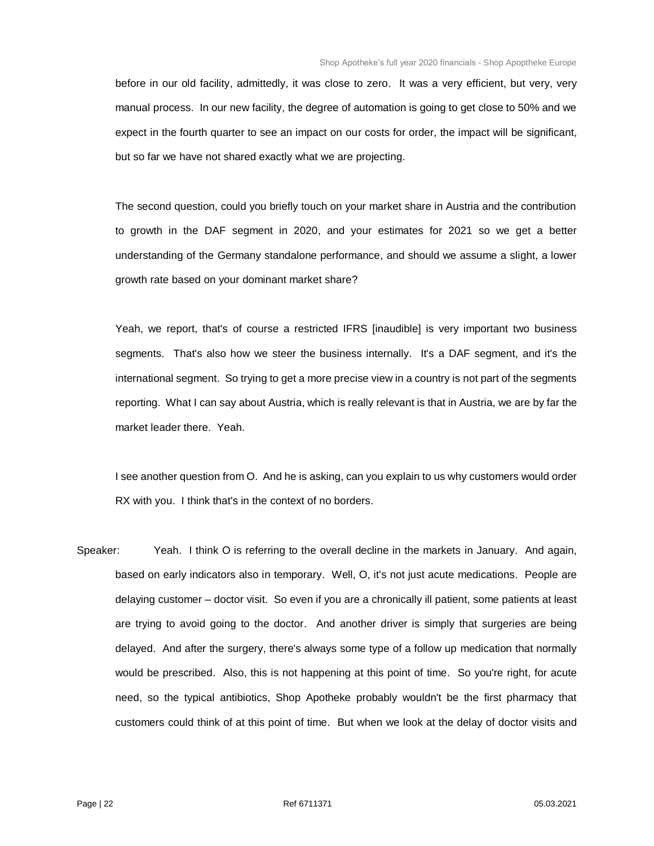before in our old facility, admittedly, it was close to zero. It was a very efficient, but very, very manual process. In our new facility, the degree of automation is going to get close to 50% and we expect in the fourth quarter to see an impact on our costs for order, the impact will be significant, but so far we have not shared exactly what we are projecting.

The second question, could you briefly touch on your market share in Austria and the contribution to growth in the DAF segment in 2020, and your estimates for 2021 so we get a better understanding of the Germany standalone performance, and should we assume a slight, a lower growth rate based on your dominant market share?

Yeah, we report, that's of course a restricted IFRS [inaudible] is very important two business segments. That's also how we steer the business internally. It's a DAF segment, and it's the international segment. So trying to get a more precise view in a country is not part of the segments reporting. What I can say about Austria, which is really relevant is that in Austria, we are by far the market leader there. Yeah.

I see another question from O. And he is asking, can you explain to us why customers would order RX with you. I think that's in the context of no borders.

Speaker: Yeah. I think O is referring to the overall decline in the markets in January. And again, based on early indicators also in temporary. Well, O, it's not just acute medications. People are delaying customer – doctor visit. So even if you are a chronically ill patient, some patients at least are trying to avoid going to the doctor. And another driver is simply that surgeries are being delayed. And after the surgery, there's always some type of a follow up medication that normally would be prescribed. Also, this is not happening at this point of time. So you're right, for acute need, so the typical antibiotics, Shop Apotheke probably wouldn't be the first pharmacy that customers could think of at this point of time. But when we look at the delay of doctor visits and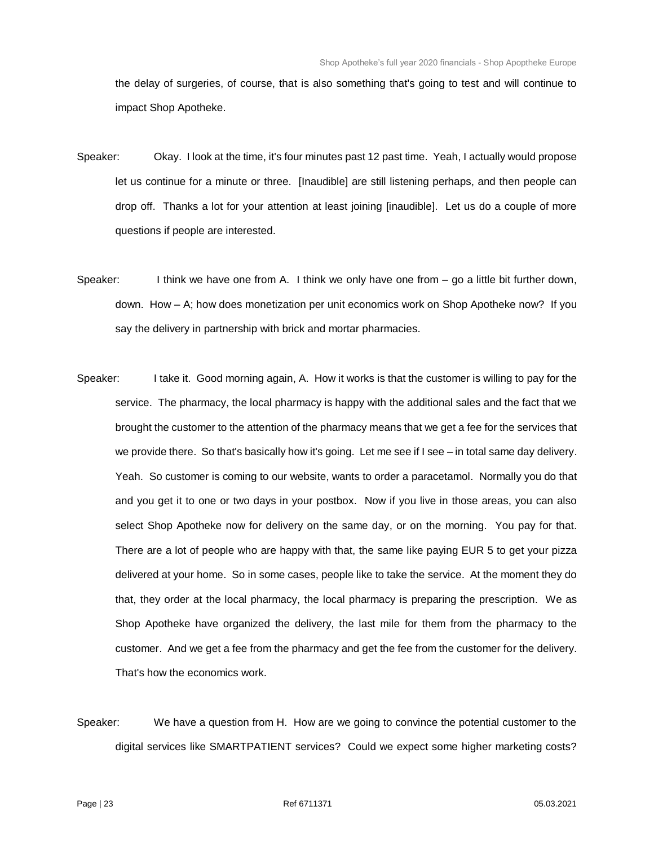the delay of surgeries, of course, that is also something that's going to test and will continue to impact Shop Apotheke.

- Speaker: Okay. I look at the time, it's four minutes past 12 past time. Yeah, I actually would propose let us continue for a minute or three. [Inaudible] are still listening perhaps, and then people can drop off. Thanks a lot for your attention at least joining [inaudible]. Let us do a couple of more questions if people are interested.
- Speaker: I think we have one from A. I think we only have one from go a little bit further down, down. How – A; how does monetization per unit economics work on Shop Apotheke now? If you say the delivery in partnership with brick and mortar pharmacies.
- Speaker: I take it. Good morning again, A. How it works is that the customer is willing to pay for the service. The pharmacy, the local pharmacy is happy with the additional sales and the fact that we brought the customer to the attention of the pharmacy means that we get a fee for the services that we provide there. So that's basically how it's going. Let me see if I see – in total same day delivery. Yeah. So customer is coming to our website, wants to order a paracetamol. Normally you do that and you get it to one or two days in your postbox. Now if you live in those areas, you can also select Shop Apotheke now for delivery on the same day, or on the morning. You pay for that. There are a lot of people who are happy with that, the same like paying EUR 5 to get your pizza delivered at your home. So in some cases, people like to take the service. At the moment they do that, they order at the local pharmacy, the local pharmacy is preparing the prescription. We as Shop Apotheke have organized the delivery, the last mile for them from the pharmacy to the customer. And we get a fee from the pharmacy and get the fee from the customer for the delivery. That's how the economics work.
- Speaker: We have a question from H. How are we going to convince the potential customer to the digital services like SMARTPATIENT services? Could we expect some higher marketing costs?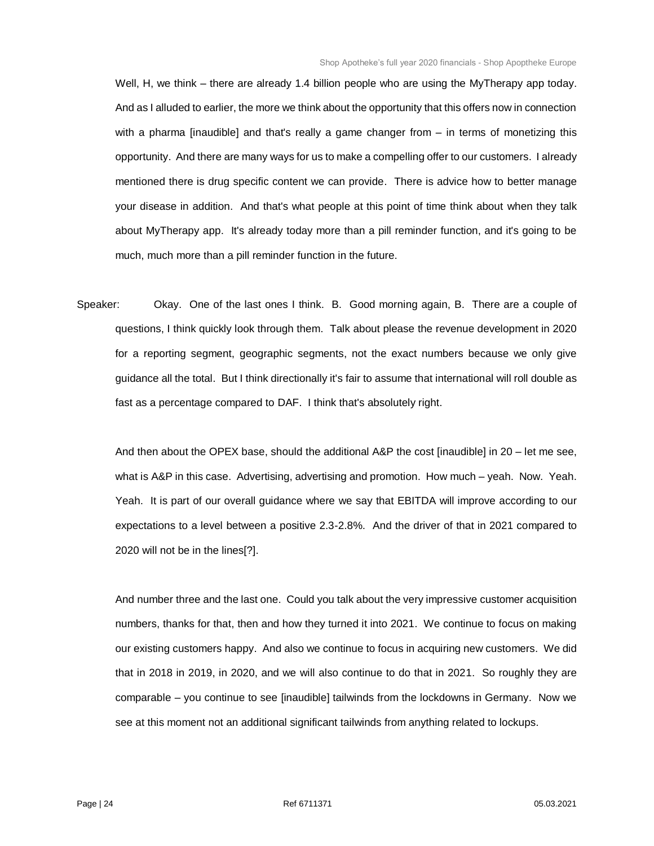Well, H, we think – there are already 1.4 billion people who are using the MyTherapy app today. And as I alluded to earlier, the more we think about the opportunity that this offers now in connection with a pharma [inaudible] and that's really a game changer from – in terms of monetizing this opportunity. And there are many ways for us to make a compelling offer to our customers. I already mentioned there is drug specific content we can provide. There is advice how to better manage your disease in addition. And that's what people at this point of time think about when they talk about MyTherapy app. It's already today more than a pill reminder function, and it's going to be much, much more than a pill reminder function in the future.

Speaker: Okay. One of the last ones I think. B. Good morning again, B. There are a couple of questions, I think quickly look through them. Talk about please the revenue development in 2020 for a reporting segment, geographic segments, not the exact numbers because we only give guidance all the total. But I think directionally it's fair to assume that international will roll double as fast as a percentage compared to DAF. I think that's absolutely right.

And then about the OPEX base, should the additional A&P the cost [inaudible] in 20 – let me see, what is A&P in this case. Advertising, advertising and promotion. How much – yeah. Now. Yeah. Yeah. It is part of our overall guidance where we say that EBITDA will improve according to our expectations to a level between a positive 2.3-2.8%. And the driver of that in 2021 compared to 2020 will not be in the lines[?].

And number three and the last one. Could you talk about the very impressive customer acquisition numbers, thanks for that, then and how they turned it into 2021. We continue to focus on making our existing customers happy. And also we continue to focus in acquiring new customers. We did that in 2018 in 2019, in 2020, and we will also continue to do that in 2021. So roughly they are comparable – you continue to see [inaudible] tailwinds from the lockdowns in Germany. Now we see at this moment not an additional significant tailwinds from anything related to lockups.